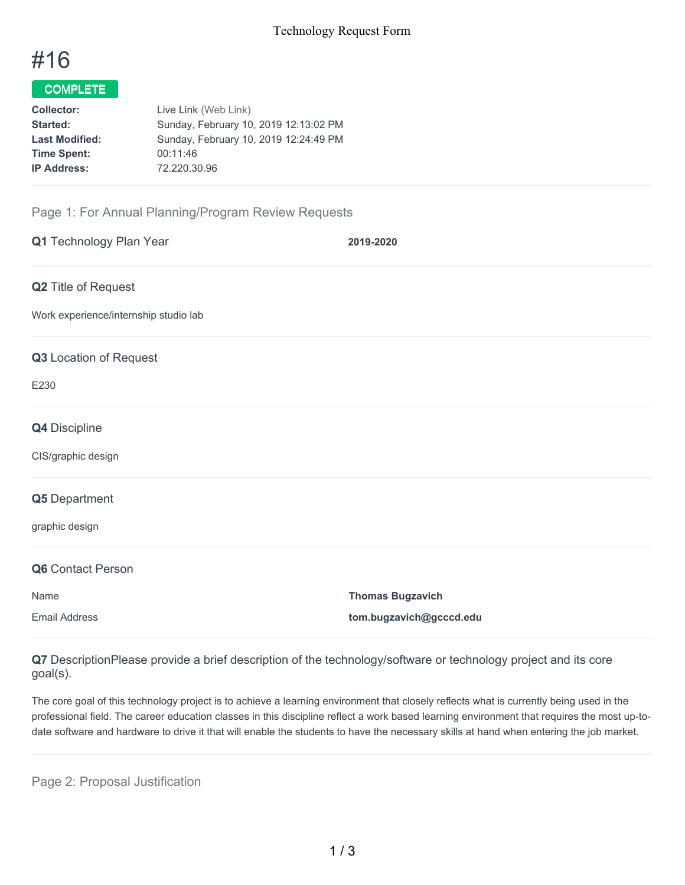# #16

# COMPLETE

| Live Link (Web Link)                  |
|---------------------------------------|
| Sunday, February 10, 2019 12:13:02 PM |
| Sunday, February 10, 2019 12:24:49 PM |
| 00:11:46                              |
| 72.220.30.96                          |
|                                       |

## Page 1: For Annual Planning/Program Review Requests

| Q1 Technology Plan Year               | 2019-2020               |
|---------------------------------------|-------------------------|
| Q2 Title of Request                   |                         |
| Work experience/internship studio lab |                         |
| Q3 Location of Request                |                         |
| E230                                  |                         |
| Q4 Discipline                         |                         |
| CIS/graphic design                    |                         |
| Q5 Department                         |                         |
| graphic design                        |                         |
| Q6 Contact Person                     |                         |
| Name                                  | <b>Thomas Bugzavich</b> |
| <b>Email Address</b>                  | tom.bugzavich@gcccd.edu |

**Q7** DescriptionPlease provide a brief description of the technology/software or technology project and its core goal(s).

The core goal of this technology project is to achieve a learning environment that closely reflects what is currently being used in the professional field. The career education classes in this discipline reflect a work based learning environment that requires the most up-todate software and hardware to drive it that will enable the students to have the necessary skills at hand when entering the job market.

Page 2: Proposal Justification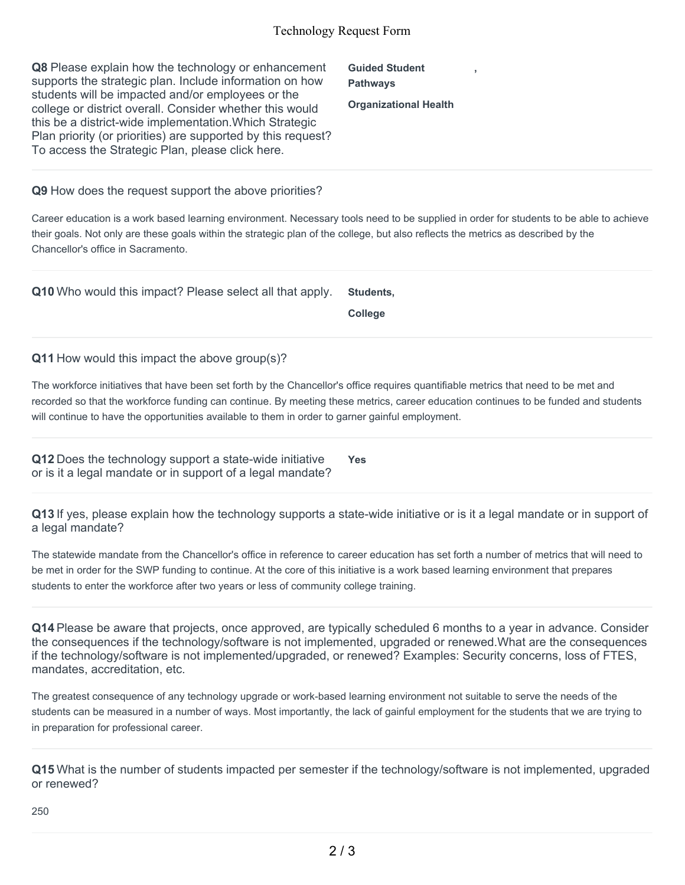#### Technology Request Form

| Q8 Please explain how the technology or enhancement          | <b>Guided Student</b>        |  |
|--------------------------------------------------------------|------------------------------|--|
| supports the strategic plan. Include information on how      | <b>Pathways</b>              |  |
| students will be impacted and/or employees or the            |                              |  |
| college or district overall. Consider whether this would     | <b>Organizational Health</b> |  |
| this be a district-wide implementation. Which Strategic      |                              |  |
| Plan priority (or priorities) are supported by this request? |                              |  |
| To access the Strategic Plan, please click here.             |                              |  |

**Q9** How does the request support the above priorities?

Career education is a work based learning environment. Necessary tools need to be supplied in order for students to be able to achieve their goals. Not only are these goals within the strategic plan of the college, but also reflects the metrics as described by the Chancellor's office in Sacramento.

**Q10** Who would this impact? Please select all that apply. **Students,**

**College**

**Q11** How would this impact the above group(s)?

The workforce initiatives that have been set forth by the Chancellor's office requires quantifiable metrics that need to be met and recorded so that the workforce funding can continue. By meeting these metrics, career education continues to be funded and students will continue to have the opportunities available to them in order to garner gainful employment.

**Q12** Does the technology support a state-wide initiative or is it a legal mandate or in support of a legal mandate? **Yes**

**Q13** If yes, please explain how the technology supports a state-wide initiative or is it a legal mandate or in support of a legal mandate?

The statewide mandate from the Chancellor's office in reference to career education has set forth a number of metrics that will need to be met in order for the SWP funding to continue. At the core of this initiative is a work based learning environment that prepares students to enter the workforce after two years or less of community college training.

**Q14** Please be aware that projects, once approved, are typically scheduled 6 months to a year in advance. Consider the consequences if the technology/software is not implemented, upgraded or renewed.What are the consequences if the technology/software is not implemented/upgraded, or renewed? Examples: Security concerns, loss of FTES, mandates, accreditation, etc.

The greatest consequence of any technology upgrade or work-based learning environment not suitable to serve the needs of the students can be measured in a number of ways. Most importantly, the lack of gainful employment for the students that we are trying to in preparation for professional career.

**Q15** What is the number of students impacted per semester if the technology/software is not implemented, upgraded or renewed?